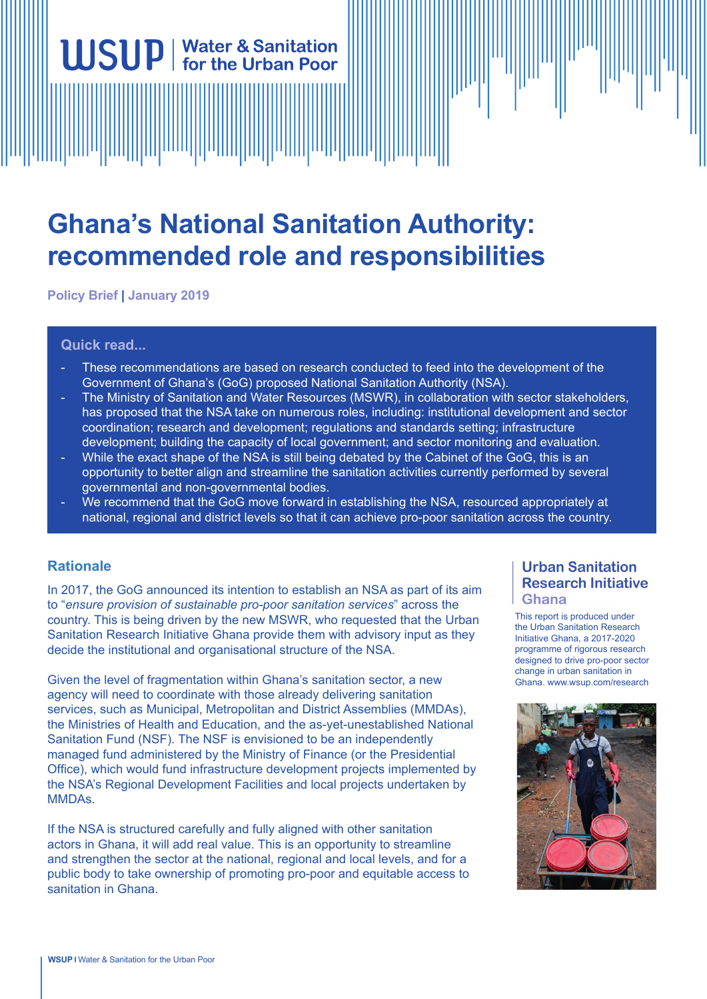# **Ghana's National Sanitation Authority: recommended role and responsibilities**

**Policy Brief | January 2019**

**WSUP** | Water & Sanitation

## **Quick read...**

- These recommendations are based on research conducted to feed into the development of the Government of Ghana's (GoG) proposed National Sanitation Authority (NSA).
- The Ministry of Sanitation and Water Resources (MSWR), in collaboration with sector stakeholders, has proposed that the NSA take on numerous roles, including: institutional development and sector coordination; research and development; regulations and standards setting; infrastructure development; building the capacity of local government; and sector monitoring and evaluation.
- While the exact shape of the NSA is still being debated by the Cabinet of the GoG, this is an opportunity to better align and streamline the sanitation activities currently performed by several governmental and non-governmental bodies.
- We recommend that the GoG move forward in establishing the NSA, resourced appropriately at national, regional and district levels so that it can achieve pro-poor sanitation across the country.

# **Rationale**

In 2017, the GoG announced its intention to establish an NSA as part of its aim to "*ensure provision of sustainable pro-poor sanitation services*" across the country. This is being driven by the new MSWR, who requested that the Urban Sanitation Research Initiative Ghana provide them with advisory input as they decide the institutional and organisational structure of the NSA.

Given the level of fragmentation within Ghana's sanitation sector, a new agency will need to coordinate with those already delivering sanitation services, such as Municipal, Metropolitan and District Assemblies (MMDAs), the Ministries of Health and Education, and the as-yet-unestablished National Sanitation Fund (NSF). The NSF is envisioned to be an independently managed fund administered by the Ministry of Finance (or the Presidential Office), which would fund infrastructure development projects implemented by the NSA's Regional Development Facilities and local projects undertaken by MMDAs.

If the NSA is structured carefully and fully aligned with other sanitation actors in Ghana, it will add real value. This is an opportunity to streamline and strengthen the sector at the national, regional and local levels, and for a public body to take ownership of promoting pro-poor and equitable access to sanitation in Ghana.

# **Urban Sanitation Research Initiative Ghana**

This report is produced under the Urban Sanitation Research Initiative Ghana, a 2017-2020 programme of rigorous research designed to drive pro-poor sector change in urban sanitation in Ghana. www.wsup.com/research